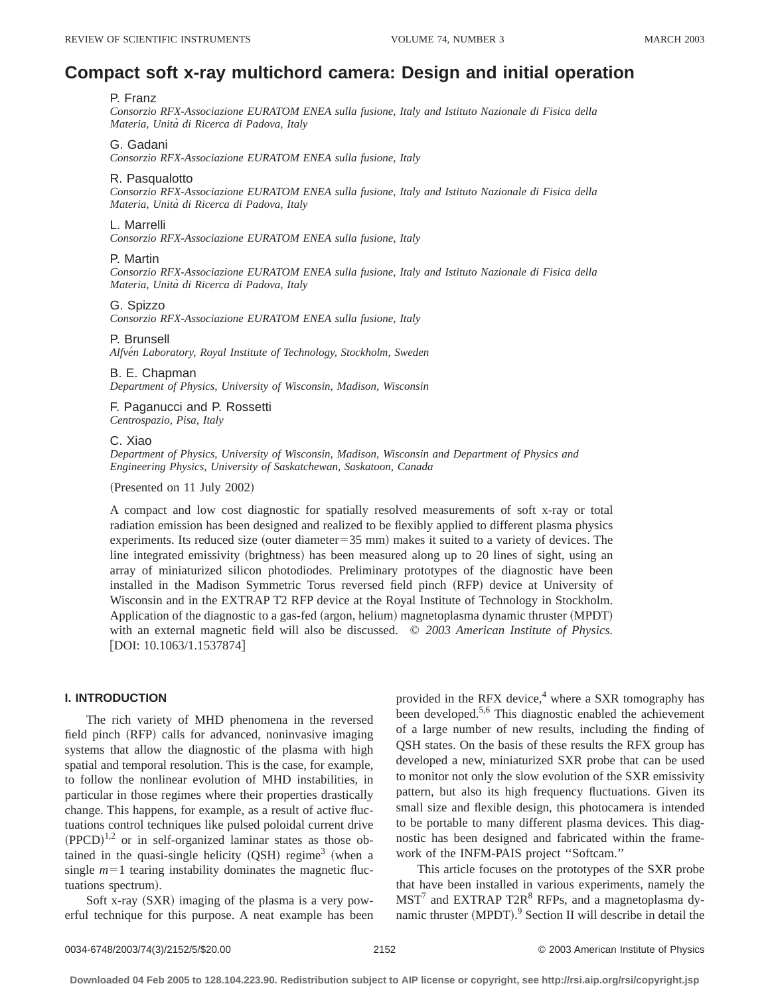# **Compact soft x-ray multichord camera: Design and initial operation**

# P. Franz

*Consorzio RFX-Associazione EURATOM ENEA sulla fusione, Italy and Istituto Nazionale di Fisica della Materia, Unita` di Ricerca di Padova, Italy*

# G. Gadani

*Consorzio RFX-Associazione EURATOM ENEA sulla fusione, Italy*

#### R. Pasqualotto

*Consorzio RFX-Associazione EURATOM ENEA sulla fusione, Italy and Istituto Nazionale di Fisica della Materia, Unita` di Ricerca di Padova, Italy*

#### L. Marrelli

*Consorzio RFX-Associazione EURATOM ENEA sulla fusione, Italy*

#### P. Martin

*Consorzio RFX-Associazione EURATOM ENEA sulla fusione, Italy and Istituto Nazionale di Fisica della Materia, Unita` di Ricerca di Padova, Italy*

## G. Spizzo

*Consorzio RFX-Associazione EURATOM ENEA sulla fusione, Italy*

# P. Brunsell

*Alfve´n Laboratory, Royal Institute of Technology, Stockholm, Sweden*

#### B. E. Chapman

*Department of Physics, University of Wisconsin, Madison, Wisconsin*

# F. Paganucci and P. Rossetti *Centrospazio, Pisa, Italy*

#### C. Xiao

*Department of Physics, University of Wisconsin, Madison, Wisconsin and Department of Physics and Engineering Physics, University of Saskatchewan, Saskatoon, Canada*

 $(Presented on 11 July 2002)$ 

A compact and low cost diagnostic for spatially resolved measurements of soft x-ray or total radiation emission has been designed and realized to be flexibly applied to different plasma physics experiments. Its reduced size (outer diameter= $35$  mm) makes it suited to a variety of devices. The line integrated emissivity (brightness) has been measured along up to 20 lines of sight, using an array of miniaturized silicon photodiodes. Preliminary prototypes of the diagnostic have been installed in the Madison Symmetric Torus reversed field pinch (RFP) device at University of Wisconsin and in the EXTRAP T2 RFP device at the Royal Institute of Technology in Stockholm. Application of the diagnostic to a gas-fed (argon, helium) magnetoplasma dynamic thruster (MPDT) with an external magnetic field will also be discussed. © *2003 American Institute of Physics.*  $[DOI: 10.1063/1.1537874]$ 

## **I. INTRODUCTION**

The rich variety of MHD phenomena in the reversed field pinch (RFP) calls for advanced, noninvasive imaging systems that allow the diagnostic of the plasma with high spatial and temporal resolution. This is the case, for example, to follow the nonlinear evolution of MHD instabilities, in particular in those regimes where their properties drastically change. This happens, for example, as a result of active fluctuations control techniques like pulsed poloidal current drive  $(PPCD)^{1,2}$  or in self-organized laminar states as those obtained in the quasi-single helicity  $(QSH)$  regime<sup>3</sup> (when a single  $m=1$  tearing instability dominates the magnetic fluctuations spectrum).

Soft x-ray  $(SXR)$  imaging of the plasma is a very powerful technique for this purpose. A neat example has been provided in the RFX device,<sup>4</sup> where a SXR tomography has been developed.5,6 This diagnostic enabled the achievement of a large number of new results, including the finding of QSH states. On the basis of these results the RFX group has developed a new, miniaturized SXR probe that can be used to monitor not only the slow evolution of the SXR emissivity pattern, but also its high frequency fluctuations. Given its small size and flexible design, this photocamera is intended to be portable to many different plasma devices. This diagnostic has been designed and fabricated within the framework of the INFM-PAIS project ''Softcam.''

This article focuses on the prototypes of the SXR probe that have been installed in various experiments, namely the  $MST<sup>7</sup>$  and EXTRAP T2R<sup>8</sup> RFPs, and a magnetoplasma dynamic thruster (MPDT).<sup>9</sup> Section II will describe in detail the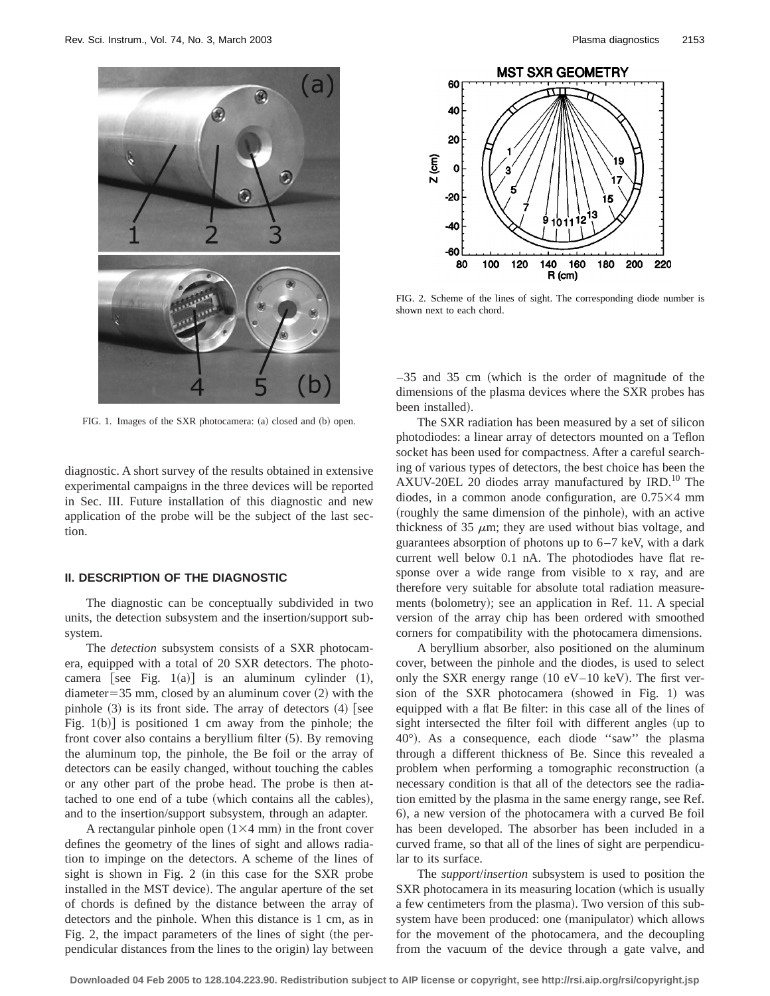

FIG. 1. Images of the SXR photocamera: (a) closed and (b) open.

diagnostic. A short survey of the results obtained in extensive experimental campaigns in the three devices will be reported in Sec. III. Future installation of this diagnostic and new application of the probe will be the subject of the last section.

# **II. DESCRIPTION OF THE DIAGNOSTIC**

The diagnostic can be conceptually subdivided in two units, the detection subsystem and the insertion/support subsystem.

The *detection* subsystem consists of a SXR photocamera, equipped with a total of 20 SXR detectors. The photocamera [see Fig.  $1(a)$ ] is an aluminum cylinder  $(1)$ , diameter=35 mm, closed by an aluminum cover  $(2)$  with the pinhole  $(3)$  is its front side. The array of detectors  $(4)$  [see Fig.  $1(b)$  is positioned 1 cm away from the pinhole; the front cover also contains a beryllium filter  $(5)$ . By removing the aluminum top, the pinhole, the Be foil or the array of detectors can be easily changed, without touching the cables or any other part of the probe head. The probe is then attached to one end of a tube (which contains all the cables), and to the insertion/support subsystem, through an adapter.

A rectangular pinhole open  $(1\times4$  mm) in the front cover defines the geometry of the lines of sight and allows radiation to impinge on the detectors. A scheme of the lines of sight is shown in Fig.  $2$  (in this case for the SXR probe installed in the MST device). The angular aperture of the set of chords is defined by the distance between the array of detectors and the pinhole. When this distance is 1 cm, as in Fig. 2, the impact parameters of the lines of sight (the perpendicular distances from the lines to the origin) lay between



FIG. 2. Scheme of the lines of sight. The corresponding diode number is shown next to each chord.

 $-35$  and 35 cm (which is the order of magnitude of the dimensions of the plasma devices where the SXR probes has been installed).

The SXR radiation has been measured by a set of silicon photodiodes: a linear array of detectors mounted on a Teflon socket has been used for compactness. After a careful searching of various types of detectors, the best choice has been the AXUV-20EL 20 diodes array manufactured by  $IRD<sup>10</sup>$  The diodes, in a common anode configuration, are  $0.75\times4$  mm (roughly the same dimension of the pinhole), with an active thickness of 35  $\mu$ m; they are used without bias voltage, and guarantees absorption of photons up to  $6-7$  keV, with a dark current well below 0.1 nA. The photodiodes have flat response over a wide range from visible to x ray, and are therefore very suitable for absolute total radiation measurements (bolometry); see an application in Ref. 11. A special version of the array chip has been ordered with smoothed corners for compatibility with the photocamera dimensions.

A beryllium absorber, also positioned on the aluminum cover, between the pinhole and the diodes, is used to select only the SXR energy range  $(10 \text{ eV}-10 \text{ keV})$ . The first version of the SXR photocamera (showed in Fig. 1) was equipped with a flat Be filter: in this case all of the lines of sight intersected the filter foil with different angles (up to  $40^\circ$ ). As a consequence, each diode "saw" the plasma through a different thickness of Be. Since this revealed a problem when performing a tomographic reconstruction (a necessary condition is that all of the detectors see the radiation emitted by the plasma in the same energy range, see Ref. 6), a new version of the photocamera with a curved Be foil has been developed. The absorber has been included in a curved frame, so that all of the lines of sight are perpendicular to its surface.

The *support*/*insertion* subsystem is used to position the SXR photocamera in its measuring location (which is usually a few centimeters from the plasma). Two version of this subsystem have been produced: one (manipulator) which allows for the movement of the photocamera, and the decoupling from the vacuum of the device through a gate valve, and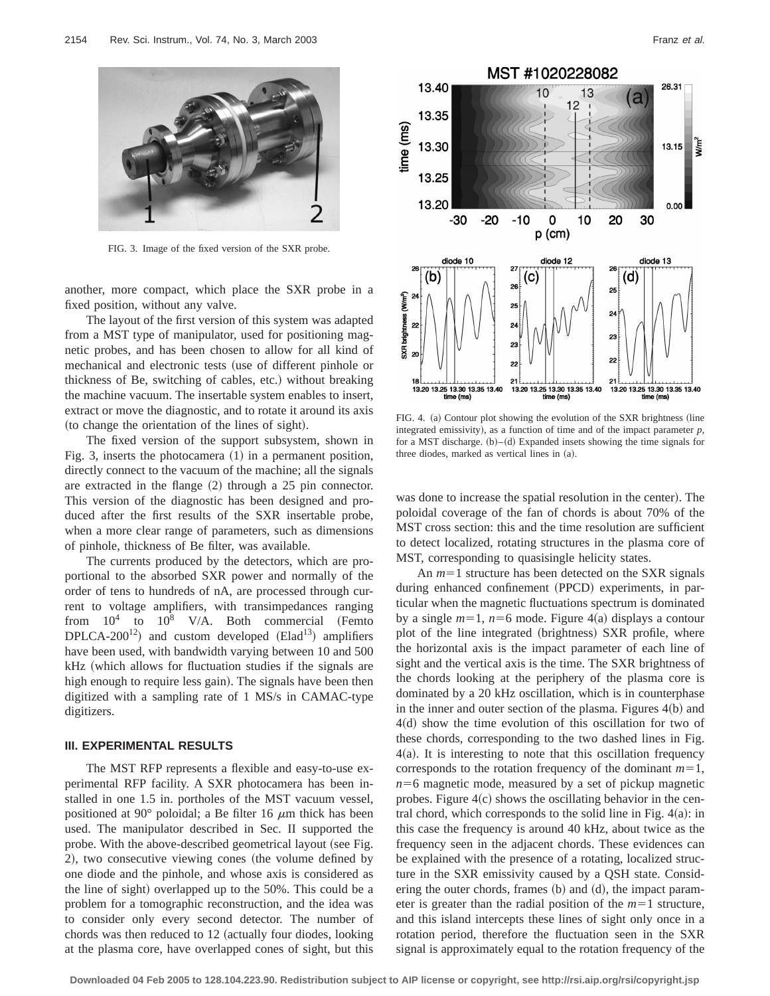

FIG. 3. Image of the fixed version of the SXR probe.

another, more compact, which place the SXR probe in a fixed position, without any valve.

The layout of the first version of this system was adapted from a MST type of manipulator, used for positioning magnetic probes, and has been chosen to allow for all kind of mechanical and electronic tests (use of different pinhole or thickness of Be, switching of cables, etc.) without breaking the machine vacuum. The insertable system enables to insert, extract or move the diagnostic, and to rotate it around its axis (to change the orientation of the lines of sight).

The fixed version of the support subsystem, shown in Fig. 3, inserts the photocamera  $(1)$  in a permanent position, directly connect to the vacuum of the machine; all the signals are extracted in the flange  $(2)$  through a 25 pin connector. This version of the diagnostic has been designed and produced after the first results of the SXR insertable probe, when a more clear range of parameters, such as dimensions of pinhole, thickness of Be filter, was available.

The currents produced by the detectors, which are proportional to the absorbed SXR power and normally of the order of tens to hundreds of nA, are processed through current to voltage amplifiers, with transimpedances ranging from  $10^4$  to  $10^8$  V/A. Both commercial (Femto DPLCA-200<sup>12</sup>) and custom developed (Elad<sup>13</sup>) amplifiers have been used, with bandwidth varying between 10 and 500  $kHz$  (which allows for fluctuation studies if the signals are high enough to require less gain). The signals have been then digitized with a sampling rate of 1 MS/s in CAMAC-type digitizers.

# **III. EXPERIMENTAL RESULTS**

The MST RFP represents a flexible and easy-to-use experimental RFP facility. A SXR photocamera has been installed in one 1.5 in. portholes of the MST vacuum vessel, positioned at 90 $^{\circ}$  poloidal; a Be filter 16  $\mu$ m thick has been used. The manipulator described in Sec. II supported the probe. With the above-described geometrical layout (see Fig. 2), two consecutive viewing cones (the volume defined by one diode and the pinhole, and whose axis is considered as the line of sight) overlapped up to the 50%. This could be a problem for a tomographic reconstruction, and the idea was to consider only every second detector. The number of chords was then reduced to 12 (actually four diodes, looking at the plasma core, have overlapped cones of sight, but this



FIG. 4. (a) Contour plot showing the evolution of the SXR brightness (line integrated emissivity), as a function of time and of the impact parameter  $p$ , for a MST discharge.  $(b)$ – $(d)$  Expanded insets showing the time signals for three diodes, marked as vertical lines in (a).

was done to increase the spatial resolution in the center). The poloidal coverage of the fan of chords is about 70% of the MST cross section: this and the time resolution are sufficient to detect localized, rotating structures in the plasma core of MST, corresponding to quasisingle helicity states.

An  $m=1$  structure has been detected on the SXR signals during enhanced confinement (PPCD) experiments, in particular when the magnetic fluctuations spectrum is dominated by a single  $m=1$ ,  $n=6$  mode. Figure 4(a) displays a contour plot of the line integrated (brightness) SXR profile, where the horizontal axis is the impact parameter of each line of sight and the vertical axis is the time. The SXR brightness of the chords looking at the periphery of the plasma core is dominated by a 20 kHz oscillation, which is in counterphase in the inner and outer section of the plasma. Figures  $4(b)$  and  $4(d)$  show the time evolution of this oscillation for two of these chords, corresponding to the two dashed lines in Fig.  $4(a)$ . It is interesting to note that this oscillation frequency corresponds to the rotation frequency of the dominant  $m=1$ ,  $n=6$  magnetic mode, measured by a set of pickup magnetic probes. Figure  $4(c)$  shows the oscillating behavior in the central chord, which corresponds to the solid line in Fig.  $4(a)$ : in this case the frequency is around 40 kHz, about twice as the frequency seen in the adjacent chords. These evidences can be explained with the presence of a rotating, localized structure in the SXR emissivity caused by a QSH state. Considering the outer chords, frames  $(b)$  and  $(d)$ , the impact parameter is greater than the radial position of the  $m=1$  structure, and this island intercepts these lines of sight only once in a rotation period, therefore the fluctuation seen in the SXR signal is approximately equal to the rotation frequency of the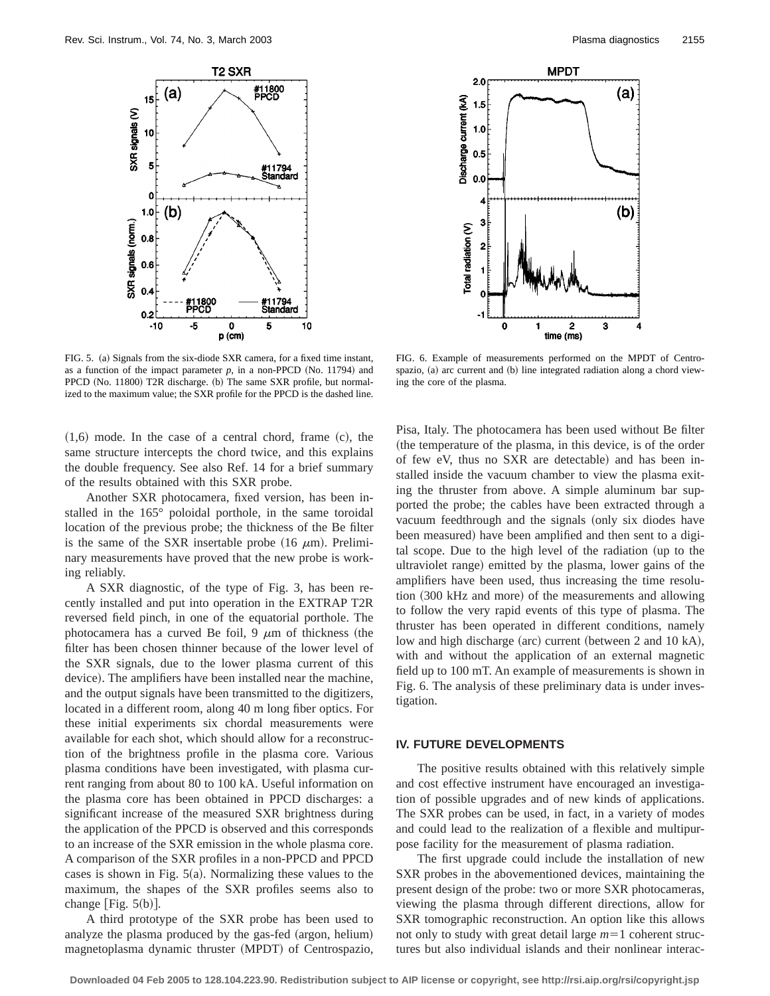



FIG. 5. (a) Signals from the six-diode SXR camera, for a fixed time instant, as a function of the impact parameter  $p$ , in a non-PPCD (No. 11794) and PPCD (No. 11800) T2R discharge. (b) The same SXR profile, but normalized to the maximum value; the SXR profile for the PPCD is the dashed line.

 $(1,6)$  mode. In the case of a central chord, frame  $(c)$ , the same structure intercepts the chord twice, and this explains the double frequency. See also Ref. 14 for a brief summary of the results obtained with this SXR probe.

Another SXR photocamera, fixed version, has been installed in the 165° poloidal porthole, in the same toroidal location of the previous probe; the thickness of the Be filter is the same of the SXR insertable probe  $(16 \mu m)$ . Preliminary measurements have proved that the new probe is working reliably.

A SXR diagnostic, of the type of Fig. 3, has been recently installed and put into operation in the EXTRAP T2R reversed field pinch, in one of the equatorial porthole. The photocamera has a curved Be foil, 9  $\mu$ m of thickness (the filter has been chosen thinner because of the lower level of the SXR signals, due to the lower plasma current of this device). The amplifiers have been installed near the machine, and the output signals have been transmitted to the digitizers, located in a different room, along 40 m long fiber optics. For these initial experiments six chordal measurements were available for each shot, which should allow for a reconstruction of the brightness profile in the plasma core. Various plasma conditions have been investigated, with plasma current ranging from about 80 to 100 kA. Useful information on the plasma core has been obtained in PPCD discharges: a significant increase of the measured SXR brightness during the application of the PPCD is observed and this corresponds to an increase of the SXR emission in the whole plasma core. A comparison of the SXR profiles in a non-PPCD and PPCD cases is shown in Fig.  $5(a)$ . Normalizing these values to the maximum, the shapes of the SXR profiles seems also to change  $[Fig. 5(b)].$ 

A third prototype of the SXR probe has been used to analyze the plasma produced by the gas-fed (argon, helium) magnetoplasma dynamic thruster (MPDT) of Centrospazio,

FIG. 6. Example of measurements performed on the MPDT of Centrospazio, (a) arc current and (b) line integrated radiation along a chord viewing the core of the plasma.

Pisa, Italy. The photocamera has been used without Be filter (the temperature of the plasma, in this device, is of the order of few eV, thus no SXR are detectable) and has been installed inside the vacuum chamber to view the plasma exiting the thruster from above. A simple aluminum bar supported the probe; the cables have been extracted through a vacuum feedthrough and the signals (only six diodes have been measured) have been amplified and then sent to a digital scope. Due to the high level of the radiation (up to the ultraviolet range) emitted by the plasma, lower gains of the amplifiers have been used, thus increasing the time resolution (300 kHz and more) of the measurements and allowing to follow the very rapid events of this type of plasma. The thruster has been operated in different conditions, namely low and high discharge (arc) current (between 2 and 10 kA), with and without the application of an external magnetic field up to 100 mT. An example of measurements is shown in Fig. 6. The analysis of these preliminary data is under investigation.

## **IV. FUTURE DEVELOPMENTS**

The positive results obtained with this relatively simple and cost effective instrument have encouraged an investigation of possible upgrades and of new kinds of applications. The SXR probes can be used, in fact, in a variety of modes and could lead to the realization of a flexible and multipurpose facility for the measurement of plasma radiation.

The first upgrade could include the installation of new SXR probes in the abovementioned devices, maintaining the present design of the probe: two or more SXR photocameras, viewing the plasma through different directions, allow for SXR tomographic reconstruction. An option like this allows not only to study with great detail large  $m=1$  coherent structures but also individual islands and their nonlinear interac